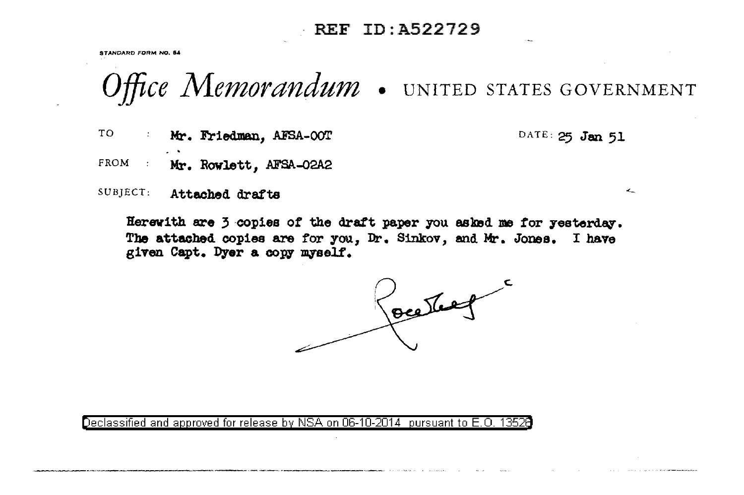## REF ID: A522729

STANDARD FORM NO. 54

Office Memorandum . UNITED STATES GOVERNMENT

TO<sub>1</sub> Mr. Friedman, AFSA-OOT DATE: 25 Jan 51

 $\mathcal{L}_-$ 

FROM : Mr. Rowlett, AFSA-02A2

SUBJECT: Attached drafts

Herewith are 3 copies of the draft paper you asked me for yesterday. The attached copies are for you, Dr. Sinkov, and Mr. Jones. I have given Capt. Dyer a copy myself.

Josepher

Declassified and approved for release by NSA on 06-10-2014 pursuant to E.O. 1352  $\,$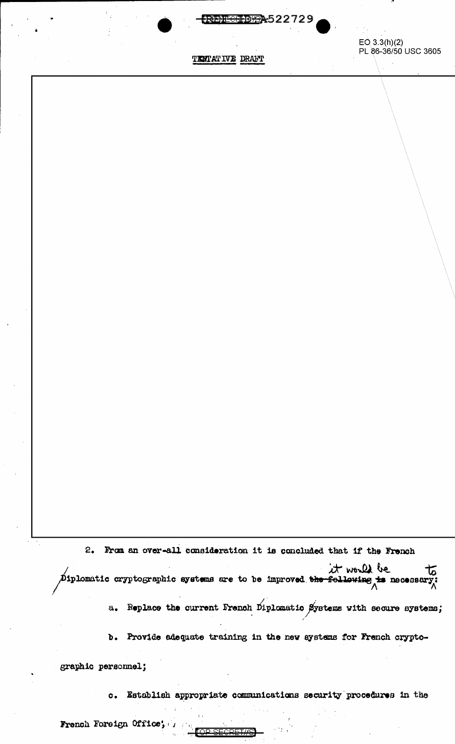

TENTATIVE DRAFT

 $EO(3.3(h)(2)$ PL 86-36/50 USC 3605

2. From an over-all consideration it is concluded that if the French

the to the followatic cryptographic systems are to be improved the following to necessary;

Replace the current French Diplomatic Systems with secure systems;  $a_{\bullet}$ 

b. Provide adequate training in the new systems for French crypto-

graphic personnel;

Establish appropriate communications security procedures in the  $\circ$ .

MO SEADETA

French Foreign Office;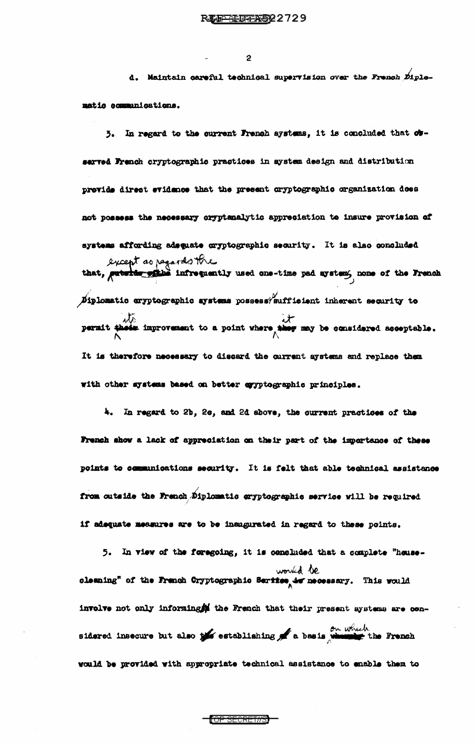$\overline{2}$ 

d. Maintain careful technical supervision over the French Diplomatio communications.

3. In regard to the current French systems, it is concluded that observed French cryptographic practices in system design and distribution previde direct evidence that the present cryptographic organization does not possess the necessary oryptanalytic appreciation to insure provision of systems affording adoquate cryptographic security. It is also concluded except as pagardo the  $\cancel{p}$ iplomatic cryptographic systems possess/sufficient inherent security to which improvement to a point where they may be considered acceptable. It is therefore necessary to discard the current aystems and replace them with other systems based on better cyyptographic principles.

4. In regard to 2b, 2c, and 2d above, the current practices of the French show a lack of appreciation on their part of the importance of these points to communications security. It is felt that able technical assistance from outside the Franch Diplomatic aryptographic service will be required if adequate measures are to be inaugurated in regard to these points.

5. In view of the feregoing, it is cencluded that a complete "heusewould be would be shaning" of the French Cryptographic Serifse, is necessary. This would involve not only informing the French that their present systems are considered insecure but also the establishing of a basis which the French would be provided with appropriate technical assistance to enable them to

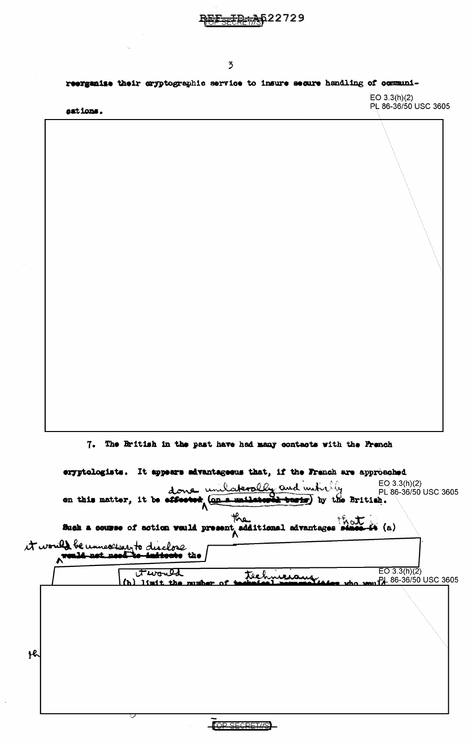|                      |                                                                              |                | ID <del>:A</del> 522729 |  |                                       |
|----------------------|------------------------------------------------------------------------------|----------------|-------------------------|--|---------------------------------------|
|                      |                                                                              |                |                         |  |                                       |
|                      |                                                                              | $\overline{2}$ |                         |  |                                       |
|                      | reerganise their cryptographic service to insure secure handling of communi- |                |                         |  |                                       |
| eations.             |                                                                              |                |                         |  | EO 3.3(h)(2)<br>PL 86-36/50 USC 3605  |
|                      |                                                                              |                |                         |  |                                       |
|                      |                                                                              |                |                         |  |                                       |
|                      |                                                                              |                |                         |  |                                       |
|                      |                                                                              |                |                         |  |                                       |
|                      |                                                                              |                |                         |  |                                       |
|                      |                                                                              |                |                         |  |                                       |
|                      |                                                                              |                |                         |  |                                       |
|                      |                                                                              |                |                         |  |                                       |
|                      |                                                                              |                |                         |  |                                       |
|                      |                                                                              |                |                         |  |                                       |
|                      |                                                                              |                |                         |  |                                       |
|                      |                                                                              |                |                         |  |                                       |
|                      |                                                                              |                |                         |  |                                       |
|                      |                                                                              |                |                         |  |                                       |
|                      |                                                                              |                |                         |  |                                       |
|                      |                                                                              |                |                         |  |                                       |
|                      |                                                                              |                |                         |  |                                       |
|                      | 7. The British in the past have had many contacts with the French            |                |                         |  |                                       |
|                      |                                                                              |                |                         |  |                                       |
|                      | eryptologists. It appears advantageous that, if the French are approached    |                |                         |  |                                       |
|                      | done unilaterally and individue British.                                     |                |                         |  | EO 3.3(h)(2)<br>_PL 86-36/50 USC 3605 |
|                      |                                                                              | the            |                         |  |                                       |
|                      | Such a course of action would present additional advantages shape it (a)     |                |                         |  |                                       |
| <b>Now 14 pet pe</b> | it would be unnecessarito disclose                                           |                |                         |  |                                       |
|                      | twould                                                                       |                |                         |  | $\overline{EO(3.3(h)(2)}$             |
|                      | limit the mumber                                                             |                | technicians.            |  | PL 86-36/50 USC 3605                  |
|                      |                                                                              |                |                         |  |                                       |
|                      |                                                                              |                |                         |  |                                       |
|                      |                                                                              |                |                         |  |                                       |
|                      |                                                                              |                |                         |  |                                       |
|                      |                                                                              |                |                         |  |                                       |
|                      |                                                                              |                |                         |  |                                       |
|                      |                                                                              |                |                         |  |                                       |

 $\ddot{\phantom{0}}$